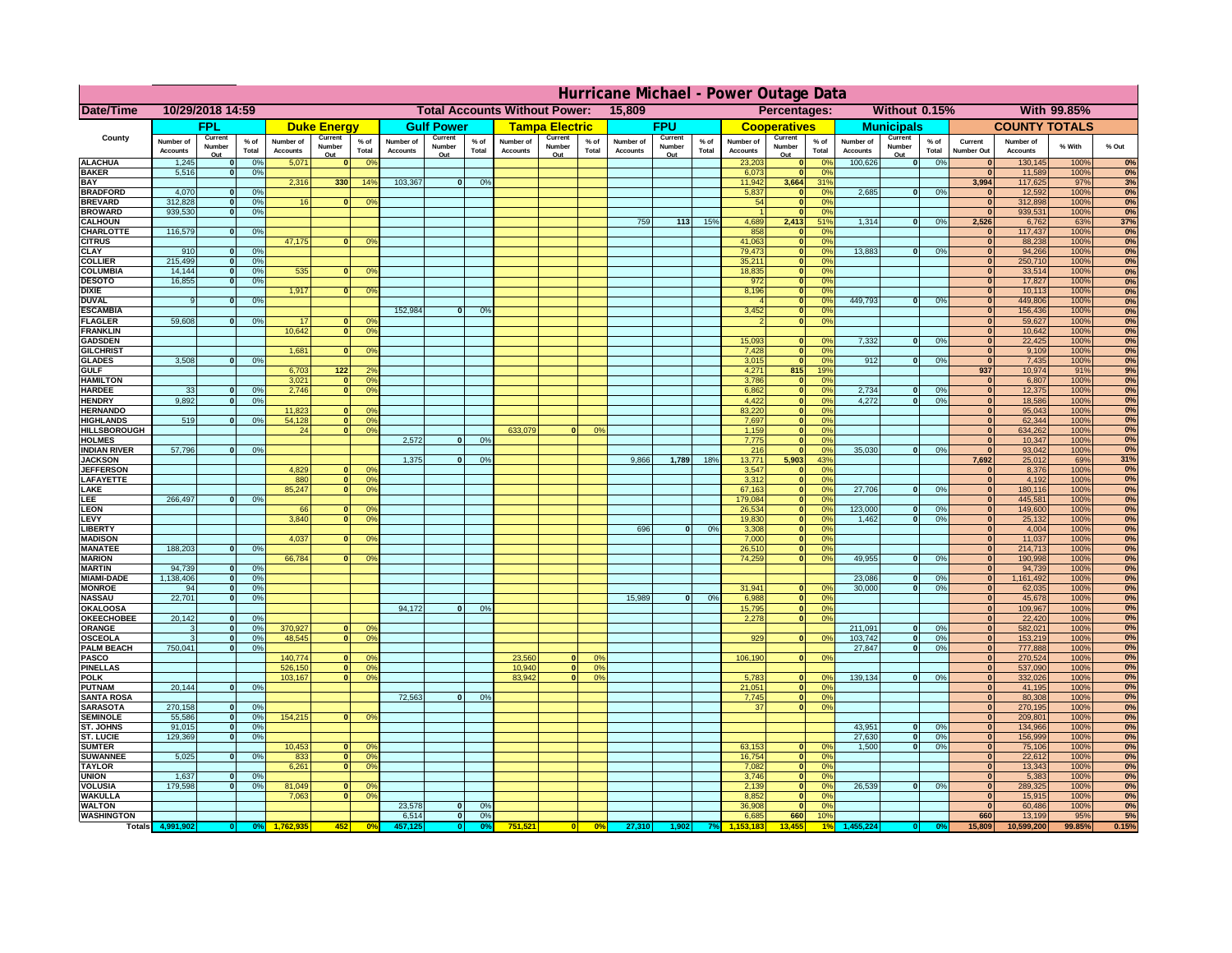|                                         | Hurricane Michael - Power Outage Data |                              |                      |                              |                         |                                                |                              |                   |                |                              |                                              |                  |                              |                   |                 |                              |                     |                       |                              |                         |                 |                                  |                              |               |             |
|-----------------------------------------|---------------------------------------|------------------------------|----------------------|------------------------------|-------------------------|------------------------------------------------|------------------------------|-------------------|----------------|------------------------------|----------------------------------------------|------------------|------------------------------|-------------------|-----------------|------------------------------|---------------------|-----------------------|------------------------------|-------------------------|-----------------|----------------------------------|------------------------------|---------------|-------------|
| Date/Time                               | 10/29/2018 14:59                      |                              |                      |                              |                         | <b>Total Accounts Without Power:</b><br>15,809 |                              |                   |                |                              | Without 0.15%<br>With 99.85%<br>Percentages: |                  |                              |                   |                 |                              |                     |                       |                              |                         |                 |                                  |                              |               |             |
|                                         |                                       | FPL                          |                      |                              | <b>Duke Energy</b>      |                                                |                              | <b>Gulf Power</b> |                |                              | <b>Tampa Electric</b>                        |                  |                              | <b>FPU</b>        |                 |                              | <b>Cooperatives</b> |                       |                              | <b>Municipals</b>       |                 |                                  | <b>COUNTY TOTALS</b>         |               |             |
| County                                  | Number of<br><b>Accounts</b>          | Current<br>Number            | $%$ of<br>Total      | Number of<br><b>Accounts</b> | Current<br>Number       | $%$ of<br>Total                                | Number of<br><b>Accounts</b> | Current<br>Number | % of<br>Total  | Number of<br><b>Accounts</b> | Current<br>Number                            | $%$ of<br>Total  | Number of<br><b>Accounts</b> | Current<br>Number | $%$ of<br>Total | Number of<br><b>Accounts</b> | Current<br>Number   | $%$ of<br>Total       | Number of<br><b>Accounts</b> | Current<br>Number       | $%$ of<br>Total | Current<br><b>Number Out</b>     | Number of<br><b>Accounts</b> | % With        | % Out       |
| <b>ALACHUA</b>                          | 1,245                                 | Out<br>$\mathbf{0}$          | 0%                   | 5,071                        | Out<br>$\bf{0}$         | 0 <sup>9</sup>                                 |                              | Out               |                |                              | Out                                          |                  |                              | Out               |                 | 23,203                       | Out<br> 0           | 0 <sup>9</sup>        | 100,626                      | Out<br> 0               | 0%              | $\bf{0}$                         | 130,145                      | 100%          | 0%          |
| <b>BAKER</b>                            | 5,516                                 | 0                            | 0%                   |                              |                         |                                                |                              |                   |                |                              |                                              |                  |                              |                   |                 | 6,073                        | 0                   | 0%                    |                              |                         |                 | $\mathbf{0}$                     | 11,589                       | 100%          | 0%          |
| <b>BAY</b><br><b>BRADFORD</b>           | 4,070                                 | $\mathbf{0}$                 | 0%                   | 2,316                        | 330                     | 14%                                            | 103,367                      | 0                 | 0%             |                              |                                              |                  |                              |                   |                 | 11,942<br>5,837              | 3,664<br> 0         | 31%<br>0%             | 2,685                        | 0                       | 0%              | 3,994<br>$\bf{0}$                | 117,625<br>12,592            | 97%<br>100%   | 3%<br>0%    |
| <b>BREVARD</b>                          | 312,828                               | 0                            | 0%                   | 16                           | 0                       | 0 <sup>o</sup>                                 |                              |                   |                |                              |                                              |                  |                              |                   |                 | 54                           | 0                   | 0%                    |                              |                         |                 | 0                                | 312,898                      | 100%          | 0%          |
| <b>BROWARD</b>                          | 939.530                               | 0                            | 0%                   |                              |                         |                                                |                              |                   |                |                              |                                              |                  |                              |                   |                 |                              | 0                   | 0%                    |                              |                         |                 | $\Omega$                         | 939,531                      | 100%          | 0%          |
| <b>CALHOUN</b><br>CHARLOTTE             | 116,579                               | 0                            | 0%                   |                              |                         |                                                |                              |                   |                |                              |                                              |                  | 759                          | $113$             | 15%             | 4,689<br>858                 | 2,413<br> 0         | 51%<br>0 <sup>9</sup> | 1,314                        | 0                       | 0%              | 2,526<br>$\bf{0}$                | 6,762<br>117,437             | 63%<br>100%   | 37%<br>0%   |
| <b>CITRUS</b>                           |                                       |                              |                      | 47,175                       | $\mathbf{0}$            | 0 <sup>o</sup>                                 |                              |                   |                |                              |                                              |                  |                              |                   |                 | 41,063                       | 0                   | 0 <sup>9</sup>        |                              |                         |                 | $\bf{0}$                         | 88,238                       | 100%          | 0%          |
| <b>CLAY</b><br><b>COLLIER</b>           | 910<br>215,499                        | $\mathbf{0}$<br>$\mathbf{0}$ | 0%<br>0 <sup>9</sup> |                              |                         |                                                |                              |                   |                |                              |                                              |                  |                              |                   |                 | 79,473<br>35,211             | 0 <br> 0            | 0%<br>0%              | 13,883                       | $\mathbf{0}$            | 0%              | $\bf{0}$<br>$\bf{0}$             | 94,266<br>250,710            | 100%<br>100%  | 0%<br>0%    |
| <b>COLUMBIA</b>                         | 14,144                                | $\mathbf 0$                  | 0%                   | 535                          | $\mathbf{0}$            | 0 <sup>9</sup>                                 |                              |                   |                |                              |                                              |                  |                              |                   |                 | 18,835                       | 0                   | 0%                    |                              |                         |                 | $\bf{0}$                         | 33,514                       | 100%          | 0%          |
| <b>DESOTO</b>                           | 16,855                                | $\mathbf{0}$                 | 0%                   |                              |                         |                                                |                              |                   |                |                              |                                              |                  |                              |                   |                 | 972                          | 0                   | 0%                    |                              |                         |                 | $\bf{0}$                         | 17,827                       | 100%          | 0%          |
| <b>DIXIE</b><br><b>DUVAL</b>            | 9                                     | $\Omega$                     | 0%                   | 1,917                        | $\mathbf{0}$            | 0 <sup>9</sup>                                 |                              |                   |                |                              |                                              |                  |                              |                   |                 | 8,196                        | 0 <br> 0            | 0%<br>0%              | 449.793                      | $\overline{\mathbf{0}}$ | 0%              | $\Omega$<br>$\Omega$             | 10,113<br>449,806            | 100%<br>100%  | 0%<br>0%    |
| <b>ESCAMBIA</b>                         |                                       |                              |                      |                              |                         |                                                | 152,984                      | $\mathbf{0}$      | 0 <sup>9</sup> |                              |                                              |                  |                              |                   |                 | 3,452                        | 0                   | 0%                    |                              |                         |                 | $\Omega$                         | 156,436                      | 100%          | 0%          |
| <b>FLAGLER</b>                          | 59,608                                | $\overline{0}$               | 0%                   | 17                           | $\bf{0}$                | 0 <sup>o</sup>                                 |                              |                   |                |                              |                                              |                  |                              |                   |                 |                              | 0                   | 0%                    |                              |                         |                 | $\bf{0}$                         | 59,627                       | 100%          | 0%          |
| <b>FRANKLIN</b>                         |                                       |                              |                      | 10,642                       | 0                       | 0 <sup>9</sup>                                 |                              |                   |                |                              |                                              |                  |                              |                   |                 | 15,093                       |                     |                       | 7,332                        |                         | 0%              | $\overline{0}$<br>$\overline{0}$ | 10,642<br>22,425             | 100%<br>100%  | 0%<br>0%    |
| <b>GADSDEN</b><br><b>GILCHRIST</b>      |                                       |                              |                      | 1,681                        | $\Omega$                | 0 <sup>9</sup>                                 |                              |                   |                |                              |                                              |                  |                              |                   |                 | 7,428                        | $\mathbf{0}$<br> 0  | 0%<br>0%              |                              | 0                       |                 | $\overline{0}$                   | 9,109                        | 100%          | 0%          |
| <b>GLADES</b>                           | 3,508                                 | 0                            | 0%                   |                              |                         |                                                |                              |                   |                |                              |                                              |                  |                              |                   |                 | 3,015                        | 0                   | 0%                    | 912                          | $\overline{0}$          | 0%              | 0                                | 7,435                        | 100%          | 0%          |
| <b>GULF</b><br><b>HAMILTON</b>          |                                       |                              |                      | 6,703<br>3,021               | $122$<br>$\overline{0}$ | 2 <sup>o</sup><br>0 <sup>9</sup>               |                              |                   |                |                              |                                              |                  |                              |                   |                 | 4,271<br>3,786               | 815                 | 19%<br>0%             |                              |                         |                 | 937<br> 0                        | 10,974                       | 91%<br>100%   | 9%          |
| <b>HARDEE</b>                           | 33                                    | $\overline{0}$               | 0%                   | 2.746                        | $\overline{0}$          | 0 <sup>9</sup>                                 |                              |                   |                |                              |                                              |                  |                              |                   |                 | 6.862                        | 0 <br> 0            | 0%                    | 2.734                        | $\mathbf{0}$            | 0%              | 0                                | 6,807<br>12,375              | 100%          | 0%<br>0%    |
| <b>HENDRY</b>                           | 9,892                                 | $\Omega$                     | 0%                   |                              |                         |                                                |                              |                   |                |                              |                                              |                  |                              |                   |                 | 4,422                        | 0                   | 0%                    | 4,272                        | $\Omega$                | 0%              | 0                                | 18,586                       | 100%          | 0%          |
| <b>HERNANDO</b>                         |                                       |                              |                      | 11,823                       | $\mathbf{0}$            | 0 <sup>9</sup>                                 |                              |                   |                |                              |                                              |                  |                              |                   |                 | 83,220                       | 0                   | 0%                    |                              |                         |                 | $\mathbf{0}$                     | 95,043                       | 100%          | 0%          |
| <b>HIGHLANDS</b><br><b>HILLSBOROUGH</b> | 519                                   | $\mathbf{0}$                 | 0 <sup>9</sup>       | 54,128<br>24                 | 0 <br> 0                | 0 <sup>9</sup><br>0 <sup>9</sup>               |                              |                   |                | 633,079                      |                                              | 0%               |                              |                   |                 | 7,697<br>1,159               | 0 <br> 0            | 0%<br>0%              |                              |                         |                 | $\mathbf{0}$<br>$\mathbf{0}$     | 62,344<br>634,262            | 100%<br>100%  | 0%<br>0%    |
| <b>HOLMES</b>                           |                                       |                              |                      |                              |                         |                                                | 2.572                        | $\mathbf{0}$      | 0%             |                              |                                              |                  |                              |                   |                 | 7,775                        | 0                   | 0%                    |                              |                         |                 | $\mathbf{0}$                     | 10,347                       | 100%          | 0%          |
| <b>INDIAN RIVER</b>                     | 57,796                                | $\mathbf{0}$                 | 0%                   |                              |                         |                                                | 1.375                        |                   |                |                              |                                              |                  |                              |                   | 18%             | 216<br>13.771                | 0 <br>5.903         | 0%<br>43%             | 35,030                       | $\mathbf{0}$            | 0%              | 0 <br>7.692                      | 93,042                       | 100%          | 0%          |
| <b>JACKSON</b><br><b>JEFFERSON</b>      |                                       |                              |                      | 4.829                        | n l                     | 0 <sup>9</sup>                                 |                              | $\mathbf{0}$      | 0 <sup>9</sup> |                              |                                              |                  | 9,866                        | 1,789             |                 | 3.547                        | 0                   | 0%                    |                              |                         |                 | 0                                | 25,012<br>8.376              | 69%<br>100%   | 31%<br>0%   |
| LAFAYETTE                               |                                       |                              |                      | 880                          | 0                       | 0 <sup>9</sup>                                 |                              |                   |                |                              |                                              |                  |                              |                   |                 | 3.312                        | 0                   | 0%                    |                              |                         |                 | 0                                | 4,192                        | 100%          | 0%          |
| LAKE                                    |                                       |                              |                      | 85,247                       | $\mathbf{0}$            | 0 <sup>9</sup>                                 |                              |                   |                |                              |                                              |                  |                              |                   |                 | 67,163                       | 0                   | 0%                    | 27,706                       | $\Omega$                | 0%              | 0                                | 180,116                      | 100%          | 0%          |
| .EE<br>LEON                             | 266,497                               | 0                            | 0%                   | 66                           | $\mathbf{0}$            | 0 <sup>o</sup>                                 |                              |                   |                |                              |                                              |                  |                              |                   |                 | 179,084<br>26,534            | 0 <br> 0            | 0%<br>0%              | 123,000                      | $\mathbf{0}$            | 0%              | 0 <br> 0                         | 445,581<br>149,600           | 100%<br>100%  | 0%<br>0%    |
| LEVY                                    |                                       |                              |                      | 3,840                        | $\Omega$                | 0 <sup>9</sup>                                 |                              |                   |                |                              |                                              |                  |                              |                   |                 | 19,830                       | 0                   | 0%                    | 1,462                        | 0                       | 0%              | 0                                | 25,132                       | 100%          | 0%          |
| LIBERTY                                 |                                       |                              |                      |                              | $\Omega$                |                                                |                              |                   |                |                              |                                              |                  | 696                          | $\Omega$          | 0%              | 3,308                        | 0                   | 0%                    |                              |                         |                 | 0                                | 4,004                        | 100%          | 0%<br>0%    |
| <b>MADISON</b><br><b>MANATEE</b>        | 188,203                               | 0                            | 0%                   | 4,037                        |                         | 0 <sup>9</sup>                                 |                              |                   |                |                              |                                              |                  |                              |                   |                 | 7,000<br>26,510              | 0 <br> 0            | 0%<br>0%              |                              |                         |                 | 0 <br> 0                         | 11,037<br>214,713            | 100%<br>100%  | 0%          |
| <b>MARION</b>                           |                                       |                              |                      | 66,784                       | $\Omega$                | 0 <sup>9</sup>                                 |                              |                   |                |                              |                                              |                  |                              |                   |                 | 74,259                       | 0                   | 0%                    | 49,955                       | $\Omega$                | 0%              | 0                                | 190,998                      | 100%          | 0%          |
| <b>MARTIN</b>                           | 94,739                                | 0                            | 0%                   |                              |                         |                                                |                              |                   |                |                              |                                              |                  |                              |                   |                 |                              |                     |                       |                              |                         |                 | 0                                | 94,739                       | 100%          | 0%<br>0%    |
| <b>MIAMI-DADE</b><br><b>MONROE</b>      | 1,138,406<br>94                       | 0 <br> 0                     | 0%<br>0%             |                              |                         |                                                |                              |                   |                |                              |                                              |                  |                              |                   |                 | 31,941                       | $\overline{0}$      | 0 <sup>9</sup>        | 23,086<br>30,000             | $\mathbf{0}$<br> 0      | 0%<br>0%        | 0 <br> 0                         | 1,161,492<br>62,035          | 100%<br>100%  | 0%          |
| <b>NASSAU</b>                           | 22,701                                | 0                            | 0%                   |                              |                         |                                                |                              |                   |                |                              |                                              |                  | 15,989                       | 0                 | 0%              | 6,988                        | 0                   | 0%                    |                              |                         |                 | 0                                | 45,678                       | 100%          | 0%          |
| <b>OKALOOSA</b>                         |                                       |                              |                      |                              |                         |                                                | 94,172                       | $\mathbf{0}$      | 0%             |                              |                                              |                  |                              |                   |                 | 15,795                       | 0                   | 0%                    |                              |                         |                 | 0                                | 109,967                      | 100%          | 0%          |
| <b>OKEECHOBEE</b><br>ORANGE             | 20,142<br>3                           | 0 <br> 0                     | 0%<br>0%             | 370,927                      |                         | 0 <br>0 <sup>o</sup>                           |                              |                   |                |                              |                                              |                  |                              |                   |                 | 2,278                        | 0                   | 0%                    | 211,091                      | $\mathbf{0}$            | 0%              | 0 <br> 0                         | 22,420<br>582,021            | 100%<br>100%  | 0%<br>0%    |
| <b>OSCEOLA</b>                          | 3                                     | 0                            | 0%                   | 48,545                       |                         | 0 <sup>9</sup><br> 0                           |                              |                   |                |                              |                                              |                  |                              |                   |                 | 929                          | 0                   | 0%                    | 103,742                      | 0                       | 0%              | 0                                | 153,219                      | 100%          | 0%          |
| <b>PALM BEACH</b>                       | 750,041                               | 0                            | 0%                   |                              |                         |                                                |                              |                   |                |                              |                                              |                  |                              |                   |                 |                              |                     |                       | 27,847                       | $\overline{\mathbf{0}}$ | 0%              | 0                                | 777,888                      | 100%          | 0%          |
| <b>PASCO</b><br><b>PINELLAS</b>         |                                       |                              |                      | 140,774<br>526,150           | $\Omega$                | 0 <sup>9</sup><br>0 <sup>9</sup><br> 0         |                              |                   |                | 23,560<br>10,940             | $\Omega$<br> 0                               | $^{\circ}$<br>0% |                              |                   |                 | 106,190                      | 0                   | 0%                    |                              |                         |                 | 0 <br>$\mathbf{0}$               | 270,524<br>537,090           | 100%<br>100%  | 0%<br>0%    |
| <b>POLK</b>                             |                                       |                              |                      | 103,167                      |                         | 0 <sup>9</sup><br> 0                           |                              |                   |                | 83,942                       | $\mathbf{a}$                                 | 0%               |                              |                   |                 | 5,783                        | 0                   | $\Omega$              | 139,134                      | 0                       | 0%              | 0                                | 332,026                      | 100%          | 0%          |
| <b>PUTNAM</b>                           | 20,144                                | 0                            | 0%                   |                              |                         |                                                |                              |                   |                |                              |                                              |                  |                              |                   |                 | 21,051                       | $\ddot{\textbf{0}}$ | 0%                    |                              |                         |                 | $\bf{0}$                         | 41,195                       | 100%          | 0%          |
| <b>SANTA ROSA</b><br><b>SARASOTA</b>    | 270,158                               | 0                            | 0%                   |                              |                         |                                                | 72,563                       | 0                 | 0%             |                              |                                              |                  |                              |                   |                 | 7,745<br>37                  | 0 <br> 0            | 0%<br>0%              |                              |                         |                 | $\mathbf{0}$<br> 0               | 80,308<br>270,195            | 100%<br>100%  | 0%<br>0%    |
| <b>SEMINOLE</b>                         | 55,586                                | 0                            | 0%                   | 154,215                      |                         | $\mathbf{0}$<br>0 <sup>9</sup>                 |                              |                   |                |                              |                                              |                  |                              |                   |                 |                              |                     |                       |                              |                         |                 | 0                                | 209,801                      | 100%          | 0%          |
| ST. JOHNS                               | 91,015                                | 0                            | 0%                   |                              |                         |                                                |                              |                   |                |                              |                                              |                  |                              |                   |                 |                              |                     |                       | 43,951                       | -ol                     | 0%              | 0                                | 134,966                      | 100%          | 0%          |
| <b>ST. LUCIE</b><br><b>SUMTER</b>       | 129.369                               | $\mathbf{0}$                 | 0%                   | 10,453                       | $\overline{0}$          | 0 <sup>9</sup>                                 |                              |                   |                |                              |                                              |                  |                              |                   |                 | 63,153                       | 0                   | 0%                    | 27.630<br>1.500              | - O I<br>0              | 0%<br>0%        | 0 <br> 0                         | 156,999<br>75,106            | 100%<br>100%  | 0%<br>0%    |
| <b>SUWANNEE</b>                         | 5,025                                 | 0                            | 0%                   | 833                          | 0                       | 0 <sup>o</sup>                                 |                              |                   |                |                              |                                              |                  |                              |                   |                 | 16,754                       | 0                   | 0%                    |                              |                         |                 | $\mathbf{0}$                     | 22,612                       | 100%          | 0%          |
| <b>TAYLOR</b>                           |                                       |                              |                      | 6,261                        | 0                       | 0 <sup>9</sup>                                 |                              |                   |                |                              |                                              |                  |                              |                   |                 | 7,082                        | 0                   | 0%                    |                              |                         |                 | $\bf{0}$                         | 13,343                       | 100%          | 0%          |
| <b>UNION</b><br><b>VOLUSIA</b>          | 1,637<br>179,598                      | $\mathbf{0}$<br>0            | 0%<br>0%             | 81,049                       | $\mathbf{0}$            | $\mathbf{0}$                                   |                              |                   |                |                              |                                              |                  |                              |                   |                 | 3,746<br>2,139               | 0 <br> 0            | 0%<br>0%              | 26,539                       | 0                       | 0%              | $\bf{0}$<br>$\bf{0}$             | 5,383<br>289,325             | 100%<br>100%  | 0%<br>0%    |
| <b>WAKULLA</b>                          |                                       |                              |                      | 7,063                        | $\mathbf{0}$            | 0 <sup>9</sup>                                 |                              |                   |                |                              |                                              |                  |                              |                   |                 | 8,852                        | 0                   | 0%                    |                              |                         |                 | $\mathbf{0}$                     | 15,915                       | 100%          | 0%          |
| <b>WALTON</b>                           |                                       |                              |                      |                              |                         |                                                | 23,578                       | $\mathbf{0}$      | 0%             |                              |                                              |                  |                              |                   |                 | 36,908                       | 0                   | 0%                    |                              |                         |                 | 0                                | 60,486                       | 100%          | 0%          |
| <b>WASHINGTON</b><br><b>Totals</b>      |                                       |                              |                      |                              | 452                     | 0 <sup>6</sup>                                 | 6,514                        | 0 <br>$\bullet$   | 0%             | 751,521                      | 0                                            | 0%               | 27,310                       | 1,902             |                 | 6,685<br>153.18              | 660<br>3.455        | 10%                   |                              |                         |                 | 660<br>15,809                    | 13,199<br>10,599,200         | 95%<br>99.85% | 5%<br>0.15% |
|                                         |                                       |                              |                      |                              |                         |                                                |                              |                   |                |                              |                                              |                  |                              |                   |                 |                              |                     |                       |                              |                         |                 |                                  |                              |               |             |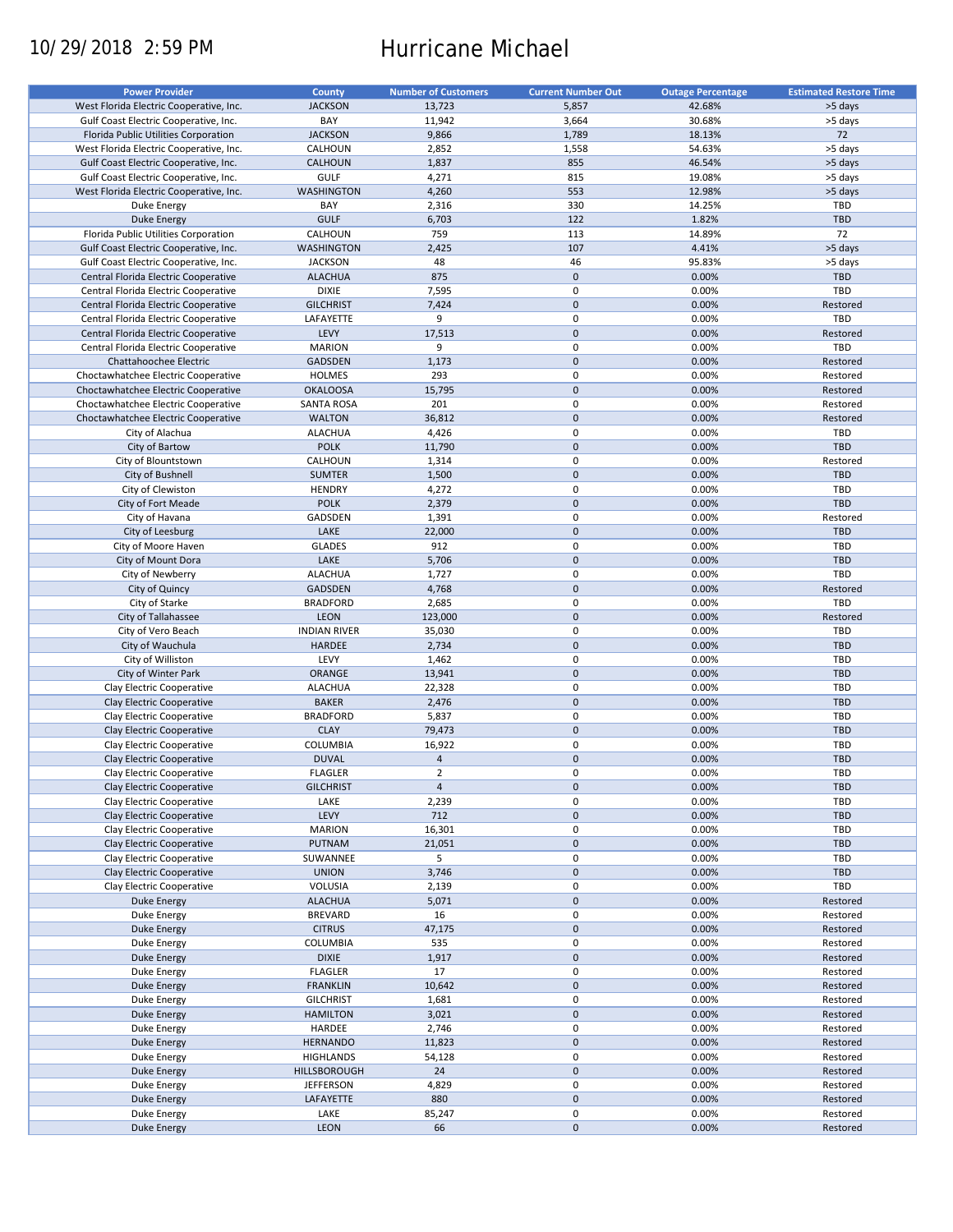# 10/29/2018 2:59 PM Hurricane Michael

| <b>Power Provider</b>                   | <b>County</b>       | <b>Number of Customers</b> | <b>Current Number Out</b> | <b>Outage Percentage</b> | <b>Estimated Restore Time</b> |
|-----------------------------------------|---------------------|----------------------------|---------------------------|--------------------------|-------------------------------|
|                                         |                     |                            |                           |                          |                               |
| West Florida Electric Cooperative, Inc. | <b>JACKSON</b>      | 13,723                     | 5,857                     | 42.68%                   | >5 days                       |
| Gulf Coast Electric Cooperative, Inc.   | BAY                 | 11,942                     | 3,664                     | 30.68%                   | >5 days                       |
| Florida Public Utilities Corporation    | <b>JACKSON</b>      | 9,866                      | 1,789                     | 18.13%                   | 72                            |
| West Florida Electric Cooperative, Inc. | CALHOUN             | 2,852                      | 1,558                     | 54.63%                   | >5 days                       |
| Gulf Coast Electric Cooperative, Inc.   | <b>CALHOUN</b>      | 1,837                      | 855                       | 46.54%                   | >5 days                       |
| Gulf Coast Electric Cooperative, Inc.   | <b>GULF</b>         | 4,271                      | 815                       | 19.08%                   | >5 days                       |
| West Florida Electric Cooperative, Inc. | <b>WASHINGTON</b>   | 4,260                      | 553                       | 12.98%                   | >5 days                       |
| Duke Energy                             | BAY                 | 2,316                      | 330                       | 14.25%                   | TBD                           |
| <b>Duke Energy</b>                      | <b>GULF</b>         | 6,703                      | 122                       | 1.82%                    | <b>TBD</b>                    |
| Florida Public Utilities Corporation    | CALHOUN             | 759                        | 113                       | 14.89%                   | 72                            |
|                                         |                     |                            |                           |                          |                               |
| Gulf Coast Electric Cooperative, Inc.   | <b>WASHINGTON</b>   | 2,425                      | 107                       | 4.41%                    | >5 days                       |
| Gulf Coast Electric Cooperative, Inc.   | <b>JACKSON</b>      | 48                         | 46                        | 95.83%                   | >5 days                       |
| Central Florida Electric Cooperative    | <b>ALACHUA</b>      | 875                        | $\pmb{0}$                 | 0.00%                    | <b>TBD</b>                    |
| Central Florida Electric Cooperative    | <b>DIXIE</b>        | 7,595                      | $\mathbf 0$               | 0.00%                    | TBD                           |
| Central Florida Electric Cooperative    | <b>GILCHRIST</b>    | 7,424                      | $\mathbf 0$               | 0.00%                    | Restored                      |
| Central Florida Electric Cooperative    | LAFAYETTE           | 9                          | $\mathbf 0$               | 0.00%                    | TBD                           |
| Central Florida Electric Cooperative    | LEVY                | 17,513                     | $\mathbf 0$               | 0.00%                    | Restored                      |
| Central Florida Electric Cooperative    | <b>MARION</b>       | 9                          | 0                         | 0.00%                    | <b>TBD</b>                    |
| Chattahoochee Electric                  | <b>GADSDEN</b>      | 1,173                      | $\mathbf 0$               | 0.00%                    | Restored                      |
|                                         |                     |                            |                           |                          |                               |
| Choctawhatchee Electric Cooperative     | <b>HOLMES</b>       | 293                        | $\mathbf 0$               | 0.00%                    | Restored                      |
| Choctawhatchee Electric Cooperative     | <b>OKALOOSA</b>     | 15,795                     | $\mathbf 0$               | 0.00%                    | Restored                      |
| Choctawhatchee Electric Cooperative     | <b>SANTA ROSA</b>   | 201                        | 0                         | 0.00%                    | Restored                      |
| Choctawhatchee Electric Cooperative     | <b>WALTON</b>       | 36,812                     | $\mathbf 0$               | 0.00%                    | Restored                      |
| City of Alachua                         | <b>ALACHUA</b>      | 4,426                      | 0                         | 0.00%                    | TBD                           |
| City of Bartow                          | <b>POLK</b>         | 11,790                     | $\mathbf 0$               | 0.00%                    | <b>TBD</b>                    |
| City of Blountstown                     | CALHOUN             | 1,314                      | 0                         | 0.00%                    | Restored                      |
| City of Bushnell                        | <b>SUMTER</b>       | 1,500                      | $\pmb{0}$                 | 0.00%                    | <b>TBD</b>                    |
|                                         |                     |                            |                           |                          |                               |
| City of Clewiston                       | <b>HENDRY</b>       | 4,272                      | 0                         | 0.00%                    | TBD                           |
| City of Fort Meade                      | <b>POLK</b>         | 2,379                      | $\mathbf 0$               | 0.00%                    | <b>TBD</b>                    |
| City of Havana                          | GADSDEN             | 1,391                      | 0                         | 0.00%                    | Restored                      |
| City of Leesburg                        | LAKE                | 22,000                     | $\mathbf 0$               | 0.00%                    | <b>TBD</b>                    |
| City of Moore Haven                     | <b>GLADES</b>       | 912                        | 0                         | 0.00%                    | TBD                           |
| City of Mount Dora                      | LAKE                | 5,706                      | $\pmb{0}$                 | 0.00%                    | <b>TBD</b>                    |
| City of Newberry                        | <b>ALACHUA</b>      | 1,727                      | $\mathbf 0$               | 0.00%                    | TBD                           |
| City of Quincy                          | GADSDEN             | 4,768                      | $\pmb{0}$                 | 0.00%                    | Restored                      |
|                                         |                     |                            | 0                         |                          | TBD                           |
| City of Starke                          | <b>BRADFORD</b>     | 2,685                      |                           | 0.00%                    |                               |
| City of Tallahassee                     | LEON                | 123,000                    | $\mathbf 0$               | 0.00%                    | Restored                      |
| City of Vero Beach                      | <b>INDIAN RIVER</b> | 35,030                     | $\pmb{0}$                 | 0.00%                    | TBD                           |
| City of Wauchula                        | <b>HARDEE</b>       | 2,734                      | $\mathbf 0$               | 0.00%                    | <b>TBD</b>                    |
| City of Williston                       | LEVY                | 1,462                      | $\mathbf 0$               | 0.00%                    | TBD                           |
| City of Winter Park                     | ORANGE              | 13,941                     | $\pmb{0}$                 | 0.00%                    | <b>TBD</b>                    |
| Clay Electric Cooperative               | <b>ALACHUA</b>      | 22,328                     | 0                         | 0.00%                    | <b>TBD</b>                    |
| Clay Electric Cooperative               | <b>BAKER</b>        | 2,476                      | $\mathbf 0$               | 0.00%                    | <b>TBD</b>                    |
| Clay Electric Cooperative               | <b>BRADFORD</b>     | 5,837                      | $\mathbf 0$               | 0.00%                    | <b>TBD</b>                    |
|                                         |                     |                            | $\mathbf 0$               |                          |                               |
| Clay Electric Cooperative               | <b>CLAY</b>         | 79,473                     |                           | 0.00%                    | <b>TBD</b>                    |
| Clay Electric Cooperative               | <b>COLUMBIA</b>     | 16,922                     | 0                         | 0.00%                    | <b>TBD</b>                    |
| Clay Electric Cooperative               | <b>DUVAL</b>        | $\overline{4}$             | $\mathbf 0$               | 0.00%                    | <b>TBD</b>                    |
| Clay Electric Cooperative               | <b>FLAGLER</b>      | $\overline{2}$             | $\mathbf 0$               | 0.00%                    | TBD                           |
| Clay Electric Cooperative               | <b>GILCHRIST</b>    | $\overline{4}$             | $\pmb{0}$                 | 0.00%                    | <b>TBD</b>                    |
| Clay Electric Cooperative               | LAKE                | 2,239                      | 0                         | 0.00%                    | TBD                           |
| Clay Electric Cooperative               | LEVY                | 712                        | $\pmb{0}$                 | 0.00%                    | TBD                           |
| Clay Electric Cooperative               | <b>MARION</b>       | 16,301                     | 0                         | 0.00%                    | TBD                           |
|                                         |                     |                            |                           |                          |                               |
| Clay Electric Cooperative               | PUTNAM              | 21,051                     | $\mathsf{O}\xspace$       | 0.00%                    | <b>TBD</b>                    |
| Clay Electric Cooperative               | SUWANNEE            | 5                          | 0                         | 0.00%                    | TBD                           |
| Clay Electric Cooperative               | <b>UNION</b>        | 3,746                      | $\pmb{0}$                 | 0.00%                    | TBD                           |
| Clay Electric Cooperative               | VOLUSIA             | 2,139                      | 0                         | 0.00%                    | TBD                           |
| Duke Energy                             | <b>ALACHUA</b>      | 5,071                      | $\pmb{0}$                 | 0.00%                    | Restored                      |
| Duke Energy                             | <b>BREVARD</b>      | 16                         | 0                         | 0.00%                    | Restored                      |
| Duke Energy                             | <b>CITRUS</b>       | 47,175                     | $\pmb{0}$                 | 0.00%                    | Restored                      |
| Duke Energy                             | <b>COLUMBIA</b>     | 535                        | 0                         | 0.00%                    | Restored                      |
|                                         | <b>DIXIE</b>        | 1,917                      | $\pmb{0}$                 | 0.00%                    | Restored                      |
| Duke Energy                             |                     |                            |                           |                          |                               |
| Duke Energy                             | <b>FLAGLER</b>      | 17                         | 0                         | 0.00%                    | Restored                      |
| Duke Energy                             | <b>FRANKLIN</b>     | 10,642                     | $\pmb{0}$                 | 0.00%                    | Restored                      |
| Duke Energy                             | <b>GILCHRIST</b>    | 1,681                      | $\pmb{0}$                 | 0.00%                    | Restored                      |
| <b>Duke Energy</b>                      | <b>HAMILTON</b>     | 3,021                      | $\pmb{0}$                 | 0.00%                    | Restored                      |
| Duke Energy                             | HARDEE              | 2,746                      | 0                         | 0.00%                    | Restored                      |
| <b>Duke Energy</b>                      | <b>HERNANDO</b>     | 11,823                     | $\pmb{0}$                 | 0.00%                    | Restored                      |
| Duke Energy                             | <b>HIGHLANDS</b>    | 54,128                     | $\pmb{0}$                 | 0.00%                    | Restored                      |
|                                         | HILLSBOROUGH        |                            | $\pmb{0}$                 | 0.00%                    | Restored                      |
| Duke Energy                             |                     | 24                         |                           |                          |                               |
| Duke Energy                             | <b>JEFFERSON</b>    | 4,829                      | 0                         | 0.00%                    | Restored                      |
| Duke Energy                             | LAFAYETTE           | 880                        | $\pmb{0}$                 | 0.00%                    | Restored                      |
| Duke Energy                             | LAKE                | 85,247                     | 0                         | 0.00%                    | Restored                      |
| Duke Energy                             | LEON                | 66                         | $\mathbf 0$               | 0.00%                    | Restored                      |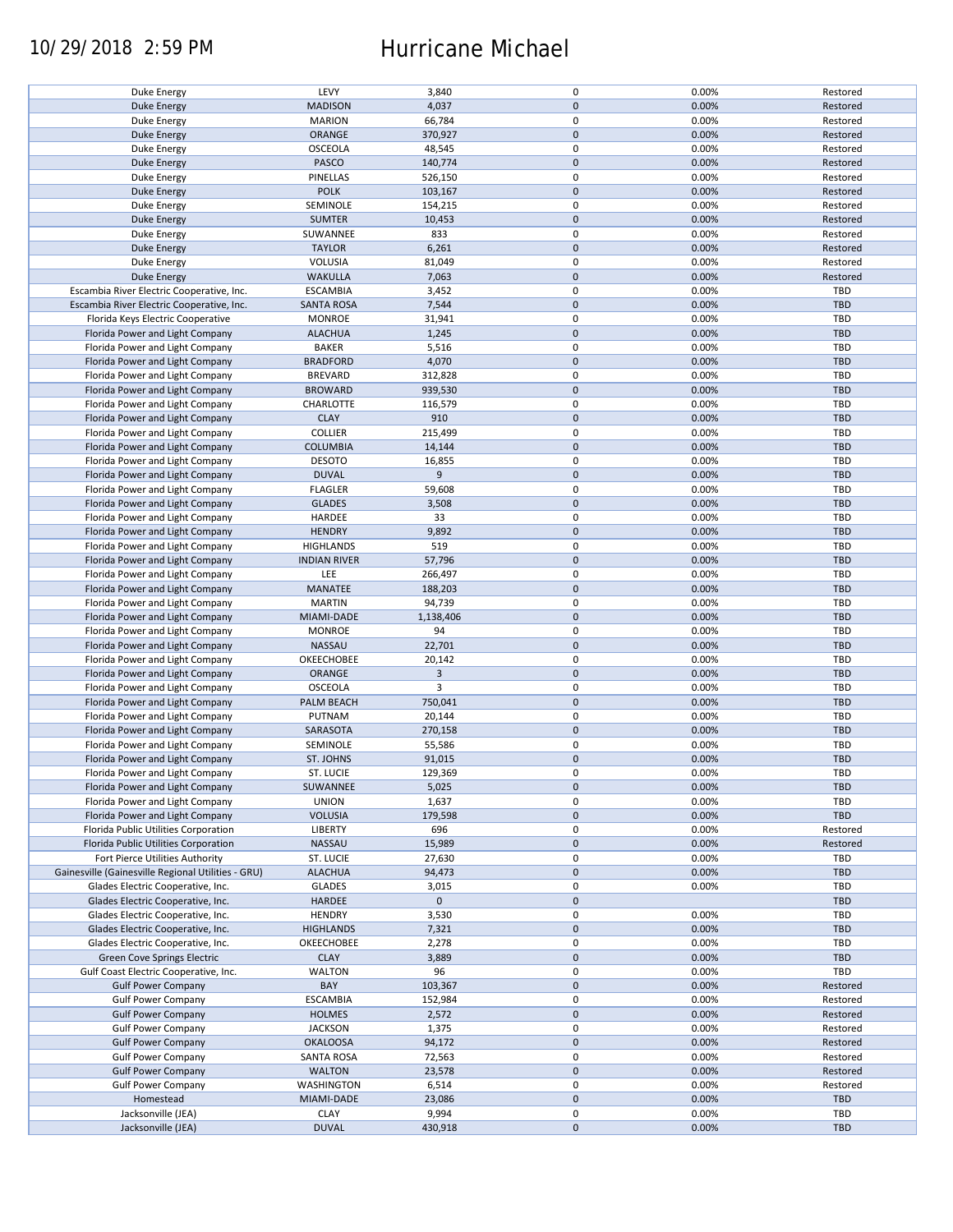## 10/29/2018 2:59 PM Hurricane Michael

| Duke Energy                                        | LEVY                | 3,840       | $\pmb{0}$           | 0.00% | Restored   |
|----------------------------------------------------|---------------------|-------------|---------------------|-------|------------|
| <b>Duke Energy</b>                                 | <b>MADISON</b>      | 4,037       | $\mathbf 0$         | 0.00% | Restored   |
|                                                    |                     |             |                     |       |            |
| Duke Energy                                        | <b>MARION</b>       | 66,784      | 0                   | 0.00% | Restored   |
| <b>Duke Energy</b>                                 | ORANGE              | 370,927     | $\mathbf 0$         | 0.00% | Restored   |
| Duke Energy                                        | <b>OSCEOLA</b>      | 48,545      | $\pmb{0}$           | 0.00% | Restored   |
|                                                    |                     |             |                     |       |            |
| <b>Duke Energy</b>                                 | PASCO               | 140,774     | $\mathbf 0$         | 0.00% | Restored   |
| Duke Energy                                        | PINELLAS            | 526,150     | $\pmb{0}$           | 0.00% | Restored   |
| <b>Duke Energy</b>                                 | <b>POLK</b>         | 103,167     | $\mathbf 0$         | 0.00% | Restored   |
|                                                    |                     |             |                     |       |            |
| Duke Energy                                        | SEMINOLE            | 154,215     | $\pmb{0}$           | 0.00% | Restored   |
| <b>Duke Energy</b>                                 | <b>SUMTER</b>       | 10,453      | $\mathbf 0$         | 0.00% | Restored   |
| Duke Energy                                        | SUWANNEE            | 833         | $\pmb{0}$           | 0.00% | Restored   |
|                                                    |                     |             |                     |       |            |
| <b>Duke Energy</b>                                 | <b>TAYLOR</b>       | 6,261       | $\mathbf 0$         | 0.00% | Restored   |
| Duke Energy                                        | <b>VOLUSIA</b>      | 81,049      | $\pmb{0}$           | 0.00% | Restored   |
| <b>Duke Energy</b>                                 | <b>WAKULLA</b>      | 7,063       | $\mathbf 0$         | 0.00% | Restored   |
|                                                    |                     |             |                     |       |            |
| Escambia River Electric Cooperative, Inc.          | <b>ESCAMBIA</b>     | 3,452       | 0                   | 0.00% | <b>TBD</b> |
| Escambia River Electric Cooperative, Inc.          | <b>SANTA ROSA</b>   | 7,544       | $\pmb{0}$           | 0.00% | <b>TBD</b> |
| Florida Keys Electric Cooperative                  | <b>MONROE</b>       | 31,941      | 0                   | 0.00% | TBD        |
|                                                    |                     |             |                     |       |            |
| Florida Power and Light Company                    | <b>ALACHUA</b>      | 1,245       | $\pmb{0}$           | 0.00% | <b>TBD</b> |
| Florida Power and Light Company                    | <b>BAKER</b>        | 5,516       | $\pmb{0}$           | 0.00% | <b>TBD</b> |
| Florida Power and Light Company                    | <b>BRADFORD</b>     | 4,070       | $\pmb{0}$           | 0.00% | <b>TBD</b> |
|                                                    |                     |             |                     |       |            |
| Florida Power and Light Company                    | <b>BREVARD</b>      | 312,828     | 0                   | 0.00% | <b>TBD</b> |
| Florida Power and Light Company                    | <b>BROWARD</b>      | 939,530     | $\pmb{0}$           | 0.00% | <b>TBD</b> |
| Florida Power and Light Company                    | CHARLOTTE           | 116,579     | 0                   | 0.00% | <b>TBD</b> |
|                                                    |                     |             |                     |       |            |
| Florida Power and Light Company                    | <b>CLAY</b>         | 910         | $\pmb{0}$           | 0.00% | <b>TBD</b> |
| Florida Power and Light Company                    | <b>COLLIER</b>      | 215,499     | $\pmb{0}$           | 0.00% | <b>TBD</b> |
|                                                    | <b>COLUMBIA</b>     | 14,144      | $\pmb{0}$           | 0.00% | <b>TBD</b> |
| Florida Power and Light Company                    |                     |             |                     |       |            |
| Florida Power and Light Company                    | <b>DESOTO</b>       | 16,855      | $\pmb{0}$           | 0.00% | <b>TBD</b> |
| Florida Power and Light Company                    | <b>DUVAL</b>        | 9           | $\mathsf{O}\xspace$ | 0.00% | <b>TBD</b> |
|                                                    |                     |             | $\pmb{0}$           |       | <b>TBD</b> |
| Florida Power and Light Company                    | <b>FLAGLER</b>      | 59,608      |                     | 0.00% |            |
| Florida Power and Light Company                    | <b>GLADES</b>       | 3,508       | $\mathsf{O}\xspace$ | 0.00% | <b>TBD</b> |
| Florida Power and Light Company                    | HARDEE              | 33          | $\pmb{0}$           | 0.00% | TBD        |
|                                                    |                     |             |                     |       |            |
| Florida Power and Light Company                    | <b>HENDRY</b>       | 9,892       | $\pmb{0}$           | 0.00% | <b>TBD</b> |
| Florida Power and Light Company                    | <b>HIGHLANDS</b>    | 519         | $\pmb{0}$           | 0.00% | <b>TBD</b> |
| Florida Power and Light Company                    | <b>INDIAN RIVER</b> | 57,796      | $\mathbf 0$         | 0.00% | <b>TBD</b> |
|                                                    |                     |             |                     |       |            |
| Florida Power and Light Company                    | LEE                 | 266,497     | 0                   | 0.00% | TBD        |
| Florida Power and Light Company                    | MANATEE             | 188,203     | $\pmb{0}$           | 0.00% | <b>TBD</b> |
| Florida Power and Light Company                    | <b>MARTIN</b>       | 94,739      | 0                   | 0.00% | <b>TBD</b> |
|                                                    |                     |             |                     |       |            |
| Florida Power and Light Company                    | MIAMI-DADE          | 1,138,406   | $\pmb{0}$           | 0.00% | <b>TBD</b> |
| Florida Power and Light Company                    | <b>MONROE</b>       | 94          | 0                   | 0.00% | <b>TBD</b> |
| Florida Power and Light Company                    | <b>NASSAU</b>       | 22,701      | $\mathbf 0$         | 0.00% | <b>TBD</b> |
|                                                    |                     |             |                     |       |            |
| Florida Power and Light Company                    | OKEECHOBEE          | 20,142      | 0                   | 0.00% | <b>TBD</b> |
| Florida Power and Light Company                    | <b>ORANGE</b>       | 3           | $\mathbf 0$         | 0.00% | <b>TBD</b> |
| Florida Power and Light Company                    | <b>OSCEOLA</b>      | 3           | $\pmb{0}$           | 0.00% | <b>TBD</b> |
|                                                    |                     |             |                     |       |            |
| Florida Power and Light Company                    | PALM BEACH          | 750,041     | $\mathbf 0$         | 0.00% | <b>TBD</b> |
| Florida Power and Light Company                    | PUTNAM              | 20,144      | $\pmb{0}$           | 0.00% | TBD        |
| Florida Power and Light Company                    | SARASOTA            | 270,158     | $\mathbf 0$         | 0.00% | <b>TBD</b> |
|                                                    |                     |             |                     |       |            |
| Florida Power and Light Company                    | SEMINOLE            | 55,586      | $\pmb{0}$           | 0.00% | <b>TBD</b> |
| Florida Power and Light Company                    | <b>ST. JOHNS</b>    | 91,015      | $\pmb{0}$           | 0.00% | <b>TBD</b> |
|                                                    |                     |             | $\mathbf 0$         |       | TBD        |
| Florida Power and Light Company                    | ST. LUCIE           | 129,369     |                     | 0.00% |            |
| Florida Power and Light Company                    | SUWANNEE            | 5,025       | $\pmb{0}$           | 0.00% | <b>TBD</b> |
| Florida Power and Light Company                    | <b>UNION</b>        | 1,637       | 0                   | 0.00% | <b>TBD</b> |
| Florida Power and Light Company                    |                     | 179,598     | $\mathbf 0$         | 0.00% | <b>TBD</b> |
|                                                    | <b>VOLUSIA</b>      |             |                     |       |            |
| Florida Public Utilities Corporation               | LIBERTY             | 696         | 0                   | 0.00% | Restored   |
| Florida Public Utilities Corporation               | NASSAU              | 15,989      | $\mathsf{O}\xspace$ | 0.00% | Restored   |
| Fort Pierce Utilities Authority                    |                     |             | 0                   |       |            |
|                                                    | ST. LUCIE           | 27,630      |                     | 0.00% | <b>TBD</b> |
| Gainesville (Gainesville Regional Utilities - GRU) | <b>ALACHUA</b>      | 94,473      | $\mathsf{O}\xspace$ | 0.00% | <b>TBD</b> |
| Glades Electric Cooperative, Inc.                  | <b>GLADES</b>       | 3,015       | 0                   | 0.00% | <b>TBD</b> |
|                                                    |                     | $\mathbf 0$ | $\mathsf{O}\xspace$ |       | <b>TBD</b> |
| Glades Electric Cooperative, Inc.                  | HARDEE              |             |                     |       |            |
| Glades Electric Cooperative, Inc.                  | <b>HENDRY</b>       | 3,530       | 0                   | 0.00% | <b>TBD</b> |
| Glades Electric Cooperative, Inc.                  | <b>HIGHLANDS</b>    | 7,321       | $\pmb{0}$           | 0.00% | <b>TBD</b> |
|                                                    | OKEECHOBEE          |             | 0                   | 0.00% |            |
| Glades Electric Cooperative, Inc.                  |                     | 2,278       |                     |       | <b>TBD</b> |
| Green Cove Springs Electric                        | <b>CLAY</b>         | 3,889       | $\mathsf{O}\xspace$ | 0.00% | <b>TBD</b> |
| Gulf Coast Electric Cooperative, Inc.              | <b>WALTON</b>       | 96          | 0                   | 0.00% | TBD        |
| <b>Gulf Power Company</b>                          | BAY                 | 103,367     | $\pmb{0}$           | 0.00% | Restored   |
|                                                    |                     |             |                     |       |            |
| <b>Gulf Power Company</b>                          | <b>ESCAMBIA</b>     | 152,984     | 0                   | 0.00% | Restored   |
| <b>Gulf Power Company</b>                          | <b>HOLMES</b>       | 2,572       | $\pmb{0}$           | 0.00% | Restored   |
|                                                    |                     |             |                     |       |            |
| <b>Gulf Power Company</b>                          | <b>JACKSON</b>      | 1,375       | 0                   | 0.00% | Restored   |
| <b>Gulf Power Company</b>                          | <b>OKALOOSA</b>     | 94,172      | $\pmb{0}$           | 0.00% | Restored   |
| <b>Gulf Power Company</b>                          | <b>SANTA ROSA</b>   | 72,563      | $\pmb{0}$           | 0.00% | Restored   |
|                                                    |                     |             |                     |       |            |
| <b>Gulf Power Company</b>                          | <b>WALTON</b>       | 23,578      | $\pmb{0}$           | 0.00% | Restored   |
| <b>Gulf Power Company</b>                          | <b>WASHINGTON</b>   | 6,514       | $\mathbf 0$         | 0.00% | Restored   |
| Homestead                                          | MIAMI-DADE          | 23,086      | $\pmb{0}$           | 0.00% | <b>TBD</b> |
|                                                    |                     |             |                     |       |            |
| Jacksonville (JEA)                                 | <b>CLAY</b>         | 9,994       | 0                   | 0.00% | <b>TBD</b> |
| Jacksonville (JEA)                                 | <b>DUVAL</b>        | 430,918     | $\pmb{0}$           | 0.00% | <b>TBD</b> |
|                                                    |                     |             |                     |       |            |